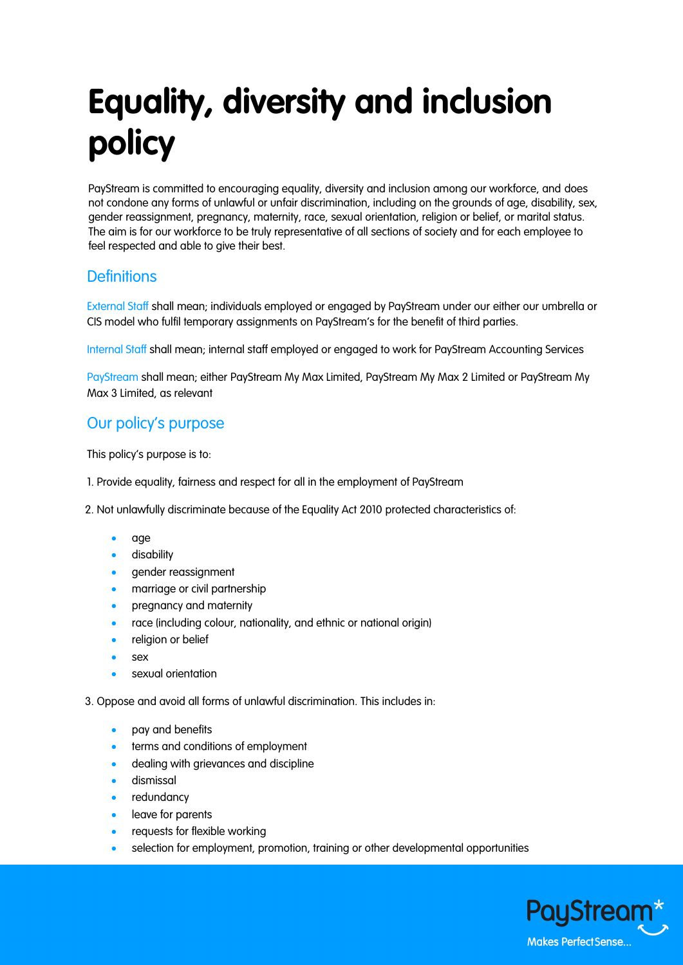# **Equality, diversity and inclusion policy**

PayStream is committed to encouraging equality, diversity and inclusion among our workforce, and does not condone any forms of unlawful or unfair discrimination, including on the grounds of age, disability, sex, gender reassignment, pregnancy, maternity, race, sexual orientation, religion or belief, or marital status. The aim is for our workforce to be truly representative of all sections of society and for each employee to feel respected and able to give their best.

## **Definitions**

External Staff shall mean; individuals employed or engaged by PayStream under our either our umbrella or CIS model who fulfil temporary assignments on PayStream's for the benefit of third parties.

Internal Staff shall mean; internal staff employed or engaged to work for PayStream Accounting Services

PayStream shall mean; either PayStream My Max Limited, PayStream My Max 2 Limited or PayStream My Max 3 Limited, as relevant

### Our policy's purpose

This policy's purpose is to:

1. Provide equality, fairness and respect for all in the employment of PayStream

2. Not unlawfully discriminate because of the Equality Act 2010 protected characteristics of:

- age
- disability
- gender reassignment
- marriage or civil partnership
- pregnancy and maternity
- race (including colour, nationality, and ethnic or national origin)
- religion or belief
- sex
- sexual orientation

3. Oppose and avoid all forms of unlawful discrimination. This includes in:

- pay and benefits
- terms and conditions of employment
- dealing with grievances and discipline
- dismissal
- redundancv
- leave for parents
- requests for flexible working
- selection for employment, promotion, training or other developmental opportunities